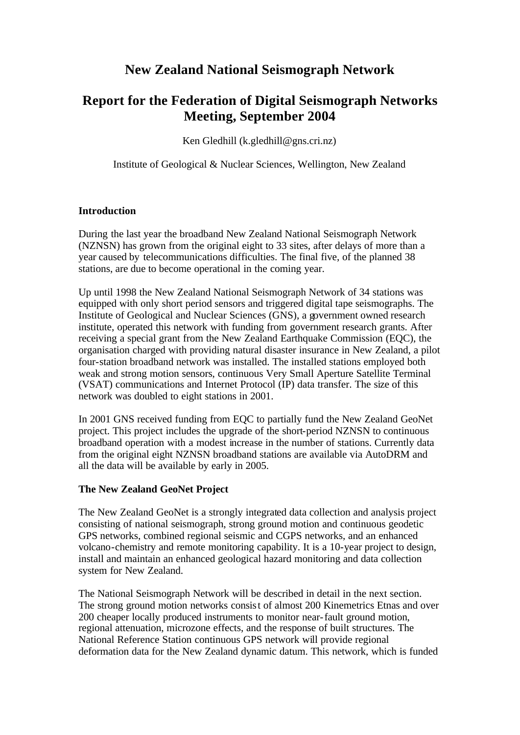## **New Zealand National Seismograph Network**

# **Report for the Federation of Digital Seismograph Networks Meeting, September 2004**

Ken Gledhill (k.gledhill@gns.cri.nz)

Institute of Geological & Nuclear Sciences, Wellington, New Zealand

### **Introduction**

During the last year the broadband New Zealand National Seismograph Network (NZNSN) has grown from the original eight to 33 sites, after delays of more than a year caused by telecommunications difficulties. The final five, of the planned 38 stations, are due to become operational in the coming year.

Up until 1998 the New Zealand National Seismograph Network of 34 stations was equipped with only short period sensors and triggered digital tape seismographs. The Institute of Geological and Nuclear Sciences (GNS), a government owned research institute, operated this network with funding from government research grants. After receiving a special grant from the New Zealand Earthquake Commission (EQC), the organisation charged with providing natural disaster insurance in New Zealand, a pilot four-station broadband network was installed. The installed stations employed both weak and strong motion sensors, continuous Very Small Aperture Satellite Terminal (VSAT) communications and Internet Protocol (IP) data transfer. The size of this network was doubled to eight stations in 2001.

In 2001 GNS received funding from EQC to partially fund the New Zealand GeoNet project. This project includes the upgrade of the short-period NZNSN to continuous broadband operation with a modest increase in the number of stations. Currently data from the original eight NZNSN broadband stations are available via AutoDRM and all the data will be available by early in 2005.

### **The New Zealand GeoNet Project**

The New Zealand GeoNet is a strongly integrated data collection and analysis project consisting of national seismograph, strong ground motion and continuous geodetic GPS networks, combined regional seismic and CGPS networks, and an enhanced volcano-chemistry and remote monitoring capability. It is a 10-year project to design, install and maintain an enhanced geological hazard monitoring and data collection system for New Zealand.

The National Seismograph Network will be described in detail in the next section. The strong ground motion networks consist of almost 200 Kinemetrics Etnas and over 200 cheaper locally produced instruments to monitor near-fault ground motion, regional attenuation, microzone effects, and the response of built structures. The National Reference Station continuous GPS network will provide regional deformation data for the New Zealand dynamic datum. This network, which is funded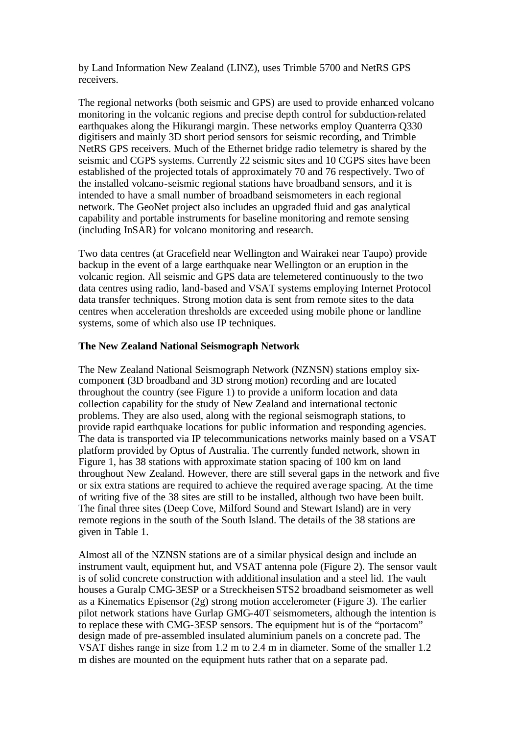by Land Information New Zealand (LINZ), uses Trimble 5700 and NetRS GPS receivers.

The regional networks (both seismic and GPS) are used to provide enhanced volcano monitoring in the volcanic regions and precise depth control for subduction-related earthquakes along the Hikurangi margin. These networks employ Quanterra Q330 digitisers and mainly 3D short period sensors for seismic recording, and Trimble NetRS GPS receivers. Much of the Ethernet bridge radio telemetry is shared by the seismic and CGPS systems. Currently 22 seismic sites and 10 CGPS sites have been established of the projected totals of approximately 70 and 76 respectively. Two of the installed volcano-seismic regional stations have broadband sensors, and it is intended to have a small number of broadband seismometers in each regional network. The GeoNet project also includes an upgraded fluid and gas analytical capability and portable instruments for baseline monitoring and remote sensing (including InSAR) for volcano monitoring and research.

Two data centres (at Gracefield near Wellington and Wairakei near Taupo) provide backup in the event of a large earthquake near Wellington or an eruption in the volcanic region. All seismic and GPS data are telemetered continuously to the two data centres using radio, land-based and VSAT systems employing Internet Protocol data transfer techniques. Strong motion data is sent from remote sites to the data centres when acceleration thresholds are exceeded using mobile phone or landline systems, some of which also use IP techniques.

#### **The New Zealand National Seismograph Network**

The New Zealand National Seismograph Network (NZNSN) stations employ sixcomponent (3D broadband and 3D strong motion) recording and are located throughout the country (see Figure 1) to provide a uniform location and data collection capability for the study of New Zealand and international tectonic problems. They are also used, along with the regional seismograph stations, to provide rapid earthquake locations for public information and responding agencies. The data is transported via IP telecommunications networks mainly based on a VSAT platform provided by Optus of Australia. The currently funded network, shown in Figure 1, has 38 stations with approximate station spacing of 100 km on land throughout New Zealand. However, there are still several gaps in the network and five or six extra stations are required to achieve the required ave rage spacing. At the time of writing five of the 38 sites are still to be installed, although two have been built. The final three sites (Deep Cove, Milford Sound and Stewart Island) are in very remote regions in the south of the South Island. The details of the 38 stations are given in Table 1.

Almost all of the NZNSN stations are of a similar physical design and include an instrument vault, equipment hut, and VSAT antenna pole (Figure 2). The sensor vault is of solid concrete construction with additional insulation and a steel lid. The vault houses a Guralp CMG-3ESP or a Streckheisen STS2 broadband seismometer as well as a Kinematics Episensor (2g) strong motion accelerometer (Figure 3). The earlier pilot network stations have Gurlap GMG-40T seismometers, although the intention is to replace these with CMG-3ESP sensors. The equipment hut is of the "portacom" design made of pre-assembled insulated aluminium panels on a concrete pad. The VSAT dishes range in size from 1.2 m to 2.4 m in diameter. Some of the smaller 1.2 m dishes are mounted on the equipment huts rather that on a separate pad.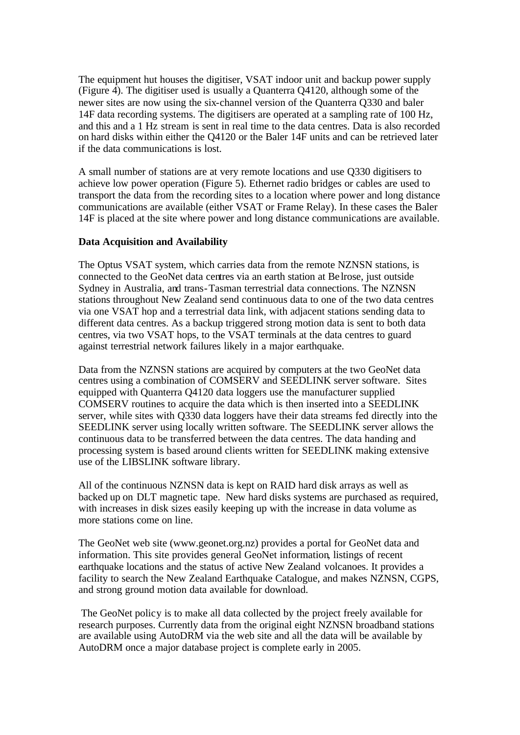The equipment hut houses the digitiser, VSAT indoor unit and backup power supply (Figure 4). The digitiser used is usually a Quanterra Q4120, although some of the newer sites are now using the six-channel version of the Quanterra Q330 and baler 14F data recording systems. The digitisers are operated at a sampling rate of 100 Hz, and this and a 1 Hz stream is sent in real time to the data centres. Data is also recorded on hard disks within either the Q4120 or the Baler 14F units and can be retrieved later if the data communications is lost.

A small number of stations are at very remote locations and use Q330 digitisers to achieve low power operation (Figure 5). Ethernet radio bridges or cables are used to transport the data from the recording sites to a location where power and long distance communications are available (either VSAT or Frame Relay). In these cases the Baler 14F is placed at the site where power and long distance communications are available.

#### **Data Acquisition and Availability**

The Optus VSAT system, which carries data from the remote NZNSN stations, is connected to the GeoNet data centres via an earth station at Be lrose, just outside Sydney in Australia, and trans-Tasman terrestrial data connections. The NZNSN stations throughout New Zealand send continuous data to one of the two data centres via one VSAT hop and a terrestrial data link, with adjacent stations sending data to different data centres. As a backup triggered strong motion data is sent to both data centres, via two VSAT hops, to the VSAT terminals at the data centres to guard against terrestrial network failures likely in a major earthquake.

Data from the NZNSN stations are acquired by computers at the two GeoNet data centres using a combination of COMSERV and SEEDLINK server software. Sites equipped with Quanterra Q4120 data loggers use the manufacturer supplied COMSERV routines to acquire the data which is then inserted into a SEEDLINK server, while sites with Q330 data loggers have their data streams fed directly into the SEEDLINK server using locally written software. The SEEDLINK server allows the continuous data to be transferred between the data centres. The data handing and processing system is based around clients written for SEEDLINK making extensive use of the LIBSLINK software library.

All of the continuous NZNSN data is kept on RAID hard disk arrays as well as backed up on DLT magnetic tape. New hard disks systems are purchased as required, with increases in disk sizes easily keeping up with the increase in data volume as more stations come on line.

The GeoNet web site (www.geonet.org.nz) provides a portal for GeoNet data and information. This site provides general GeoNet information, listings of recent earthquake locations and the status of active New Zealand volcanoes. It provides a facility to search the New Zealand Earthquake Catalogue, and makes NZNSN, CGPS, and strong ground motion data available for download.

 The GeoNet policy is to make all data collected by the project freely available for research purposes. Currently data from the original eight NZNSN broadband stations are available using AutoDRM via the web site and all the data will be available by AutoDRM once a major database project is complete early in 2005.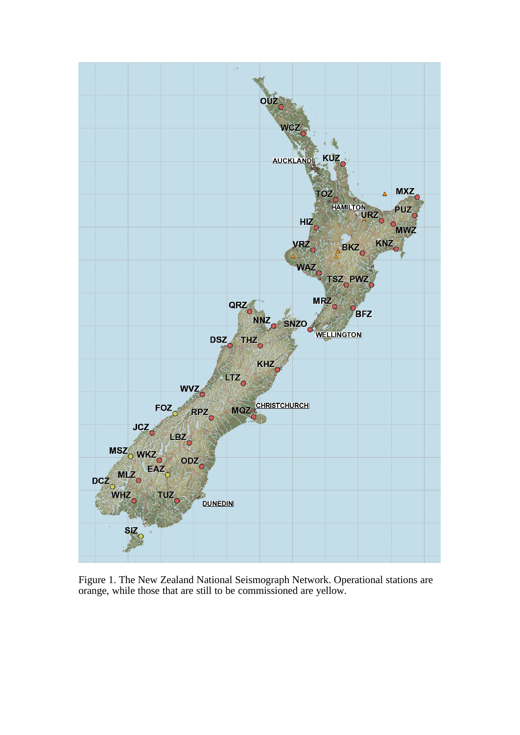

Figure 1. The New Zealand National Seismograph Network. Operational stations are orange, while those that are still to be commissioned are yellow.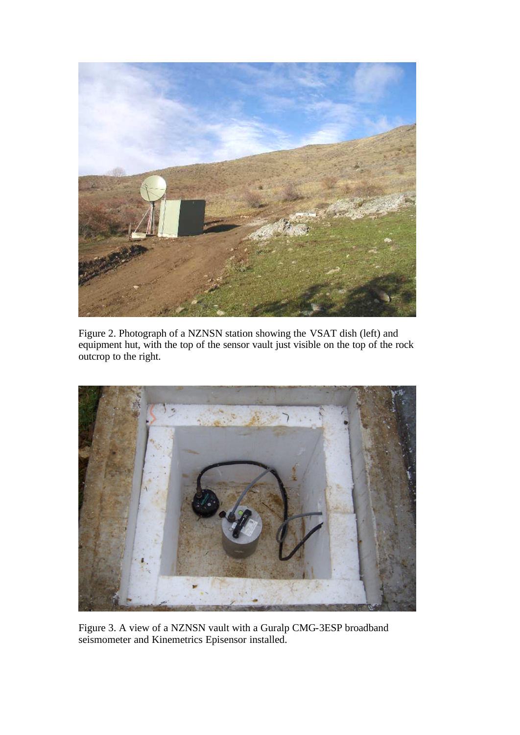

Figure 2. Photograph of a NZNSN station showing the VSAT dish (left) and equipment hut, with the top of the sensor vault just visible on the top of the rock outcrop to the right.



Figure 3. A view of a NZNSN vault with a Guralp CMG-3ESP broadband seismometer and Kinemetrics Episensor installed.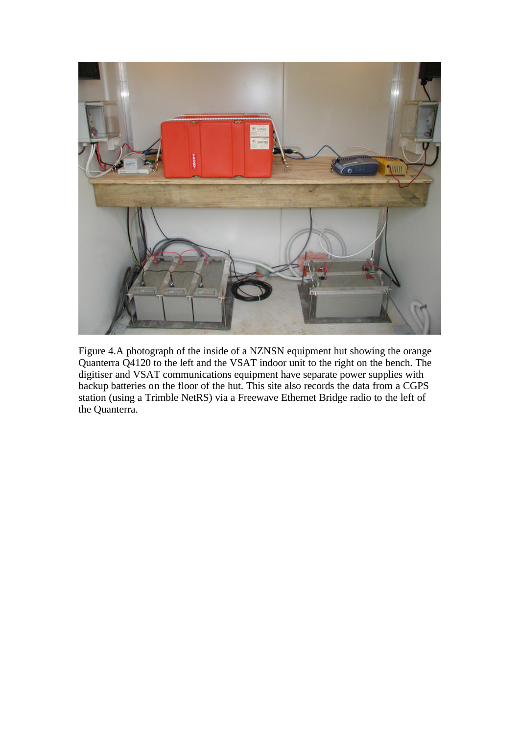

Figure 4.A photograph of the inside of a NZNSN equipment hut showing the orange Quanterra Q4120 to the left and the VSAT indoor unit to the right on the bench. The digitiser and VSAT communications equipment have separate power supplies with backup batteries on the floor of the hut. This site also records the data from a CGPS station (using a Trimble NetRS) via a Freewave Ethernet Bridge radio to the left of the Quanterra.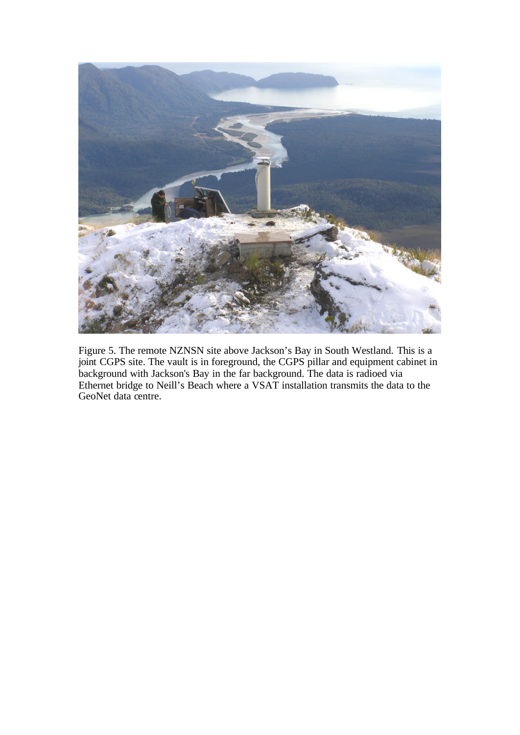

Figure 5. The remote NZNSN site above Jackson's Bay in South Westland. This is a joint CGPS site. The vault is in foreground, the CGPS pillar and equipment cabinet in background with Jackson's Bay in the far background. The data is radioed via Ethernet bridge to Neill's Beach where a VSAT installation transmits the data to the GeoNet data centre.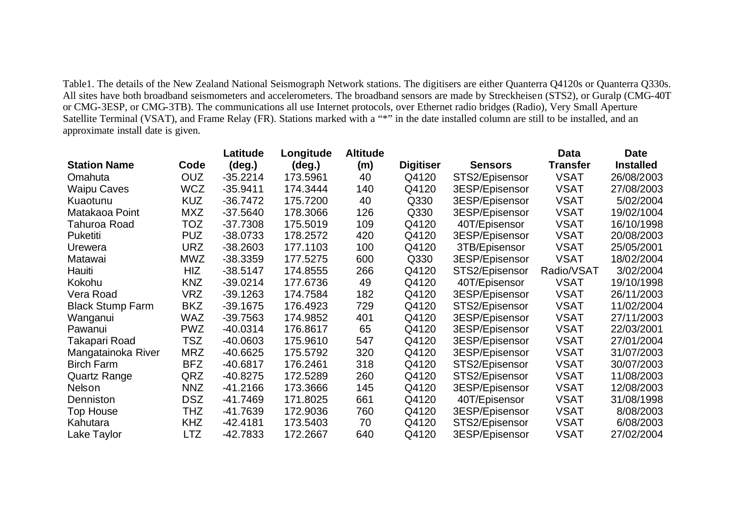Table1. The details of the New Zealand National Seismograph Network stations. The digitisers are either Quanterra Q4120s or Quanterra Q330s. All sites have both broadband seismometers and accelerometers. The broadband sensors are made by Streckheisen (STS2), or Guralp (CMG-40T or CMG-3ESP, or CMG-3TB). The communications all use Internet protocols, over Ethernet radio bridges (Radio), Very Small Aperture Satellite Terminal (VSAT), and Frame Relay (FR). Stations marked with a "\*" in the date installed column are still to be installed, and an approximate install date is given.

|                         |            | Latitude   | Longitude       | <b>Altitude</b> |                  |                | <b>Data</b>     | <b>Date</b>      |
|-------------------------|------------|------------|-----------------|-----------------|------------------|----------------|-----------------|------------------|
| <b>Station Name</b>     | Code       | (deg.)     | $(\text{deg.})$ | (m)             | <b>Digitiser</b> | <b>Sensors</b> | <b>Transfer</b> | <b>Installed</b> |
| Omahuta                 | <b>OUZ</b> | $-35.2214$ | 173.5961        | 40              | Q4120            | STS2/Episensor | <b>VSAT</b>     | 26/08/2003       |
| <b>Waipu Caves</b>      | <b>WCZ</b> | $-35.9411$ | 174.3444        | 140             | Q4120            | 3ESP/Episensor | <b>VSAT</b>     | 27/08/2003       |
| Kuaotunu                | <b>KUZ</b> | -36.7472   | 175.7200        | 40              | Q330             | 3ESP/Episensor | <b>VSAT</b>     | 5/02/2004        |
| Matakaoa Point          | <b>MXZ</b> | $-37.5640$ | 178.3066        | 126             | Q330             | 3ESP/Episensor | <b>VSAT</b>     | 19/02/1004       |
| Tahuroa Road            | TOZ        | $-37.7308$ | 175.5019        | 109             | Q4120            | 40T/Episensor  | <b>VSAT</b>     | 16/10/1998       |
| Puketiti                | <b>PUZ</b> | $-38.0733$ | 178.2572        | 420             | Q4120            | 3ESP/Episensor | <b>VSAT</b>     | 20/08/2003       |
| Urewera                 | <b>URZ</b> | $-38.2603$ | 177.1103        | 100             | Q4120            | 3TB/Episensor  | <b>VSAT</b>     | 25/05/2001       |
| Matawai                 | MWZ        | $-38.3359$ | 177.5275        | 600             | Q330             | 3ESP/Episensor | <b>VSAT</b>     | 18/02/2004       |
| Hauiti                  | HIZ        | $-38.5147$ | 174.8555        | 266             | Q4120            | STS2/Episensor | Radio/VSAT      | 3/02/2004        |
| Kokohu                  | <b>KNZ</b> | $-39.0214$ | 177.6736        | 49              | Q4120            | 40T/Episensor  | <b>VSAT</b>     | 19/10/1998       |
| Vera Road               | VRZ        | $-39.1263$ | 174.7584        | 182             | Q4120            | 3ESP/Episensor | <b>VSAT</b>     | 26/11/2003       |
| <b>Black Stump Farm</b> | <b>BKZ</b> | $-39.1675$ | 176.4923        | 729             | Q4120            | STS2/Episensor | <b>VSAT</b>     | 11/02/2004       |
| Wanganui                | <b>WAZ</b> | -39.7563   | 174.9852        | 401             | Q4120            | 3ESP/Episensor | <b>VSAT</b>     | 27/11/2003       |
| Pawanui                 | <b>PWZ</b> | -40.0314   | 176.8617        | 65              | Q4120            | 3ESP/Episensor | <b>VSAT</b>     | 22/03/2001       |
| Takapari Road           | <b>TSZ</b> | -40.0603   | 175.9610        | 547             | Q4120            | 3ESP/Episensor | <b>VSAT</b>     | 27/01/2004       |
| Mangatainoka River      | <b>MRZ</b> | -40.6625   | 175.5792        | 320             | Q4120            | 3ESP/Episensor | <b>VSAT</b>     | 31/07/2003       |
| <b>Birch Farm</b>       | <b>BFZ</b> | -40.6817   | 176.2461        | 318             | Q4120            | STS2/Episensor | <b>VSAT</b>     | 30/07/2003       |
| <b>Quartz Range</b>     | QRZ        | $-40.8275$ | 172.5289        | 260             | Q4120            | STS2/Episensor | <b>VSAT</b>     | 11/08/2003       |
| Nelson                  | <b>NNZ</b> | -41.2166   | 173.3666        | 145             | Q4120            | 3ESP/Episensor | <b>VSAT</b>     | 12/08/2003       |
| Denniston               | <b>DSZ</b> | -41.7469   | 171.8025        | 661             | Q4120            | 40T/Episensor  | <b>VSAT</b>     | 31/08/1998       |
| <b>Top House</b>        | THZ        | -41.7639   | 172.9036        | 760             | Q4120            | 3ESP/Episensor | <b>VSAT</b>     | 8/08/2003        |
| Kahutara                | <b>KHZ</b> | -42.4181   | 173.5403        | 70              | Q4120            | STS2/Episensor | <b>VSAT</b>     | 6/08/2003        |
| Lake Taylor             | LTZ        | -42.7833   | 172.2667        | 640             | Q4120            | 3ESP/Episensor | <b>VSAT</b>     | 27/02/2004       |